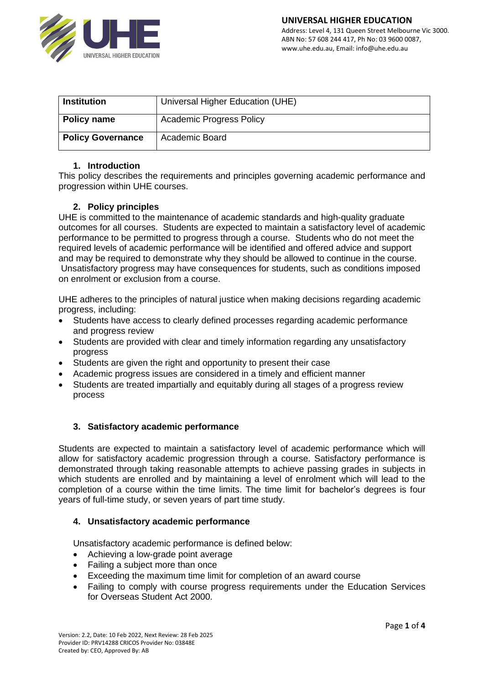

| <b>Institution</b>       | Universal Higher Education (UHE) |
|--------------------------|----------------------------------|
| <b>Policy name</b>       | <b>Academic Progress Policy</b>  |
| <b>Policy Governance</b> | <b>Academic Board</b>            |

#### **1. Introduction**

This policy describes the requirements and principles governing academic performance and progression within UHE courses.

## **2. Policy principles**

UHE is committed to the maintenance of academic standards and high-quality graduate outcomes for all courses. Students are expected to maintain a satisfactory level of academic performance to be permitted to progress through a course. Students who do not meet the required levels of academic performance will be identified and offered advice and support and may be required to demonstrate why they should be allowed to continue in the course. Unsatisfactory progress may have consequences for students, such as conditions imposed on enrolment or exclusion from a course.

UHE adheres to the principles of natural justice when making decisions regarding academic progress, including:

- Students have access to clearly defined processes regarding academic performance and progress review
- Students are provided with clear and timely information regarding any unsatisfactory progress
- Students are given the right and opportunity to present their case
- Academic progress issues are considered in a timely and efficient manner
- Students are treated impartially and equitably during all stages of a progress review process

## **3. Satisfactory academic performance**

Students are expected to maintain a satisfactory level of academic performance which will allow for satisfactory academic progression through a course. Satisfactory performance is demonstrated through taking reasonable attempts to achieve passing grades in subjects in which students are enrolled and by maintaining a level of enrolment which will lead to the completion of a course within the time limits. The time limit for bachelor's degrees is four years of full-time study, or seven years of part time study.

#### **4. Unsatisfactory academic performance**

Unsatisfactory academic performance is defined below:

- Achieving a low-grade point average
- Failing a subject more than once
- Exceeding the maximum time limit for completion of an award course
- Failing to comply with course progress requirements under the Education Services for Overseas Student Act 2000.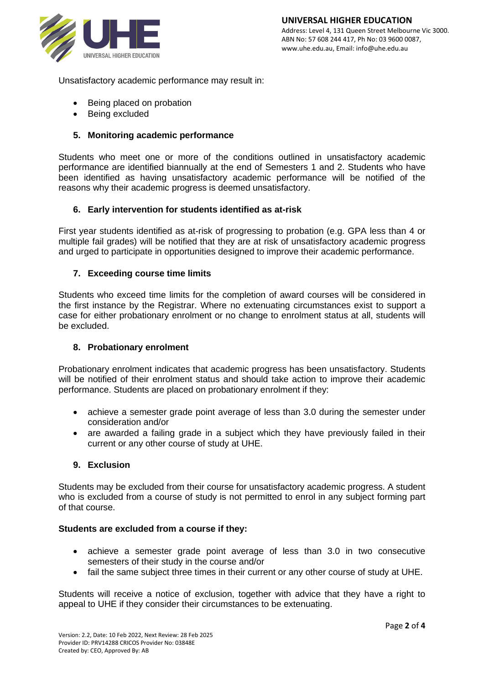

Unsatisfactory academic performance may result in:

- Being placed on probation
- Being excluded

# **5. Monitoring academic performance**

Students who meet one or more of the conditions outlined in unsatisfactory academic performance are identified biannually at the end of Semesters 1 and 2. Students who have been identified as having unsatisfactory academic performance will be notified of the reasons why their academic progress is deemed unsatisfactory.

## **6. Early intervention for students identified as at-risk**

First year students identified as at-risk of progressing to probation (e.g. GPA less than 4 or multiple fail grades) will be notified that they are at risk of unsatisfactory academic progress and urged to participate in opportunities designed to improve their academic performance.

## **7. Exceeding course time limits**

Students who exceed time limits for the completion of award courses will be considered in the first instance by the Registrar. Where no extenuating circumstances exist to support a case for either probationary enrolment or no change to enrolment status at all, students will be excluded.

## **8. Probationary enrolment**

Probationary enrolment indicates that academic progress has been unsatisfactory. Students will be notified of their enrolment status and should take action to improve their academic performance. Students are placed on probationary enrolment if they:

- achieve a semester grade point average of less than 3.0 during the semester under consideration and/or
- are awarded a failing grade in a subject which they have previously failed in their current or any other course of study at UHE.

## **9. Exclusion**

Students may be excluded from their course for unsatisfactory academic progress. A student who is excluded from a course of study is not permitted to enrol in any subject forming part of that course.

## **Students are excluded from a course if they:**

- achieve a semester grade point average of less than 3.0 in two consecutive semesters of their study in the course and/or
- fail the same subject three times in their current or any other course of study at UHE.

Students will receive a notice of exclusion, together with advice that they have a right to appeal to UHE if they consider their circumstances to be extenuating.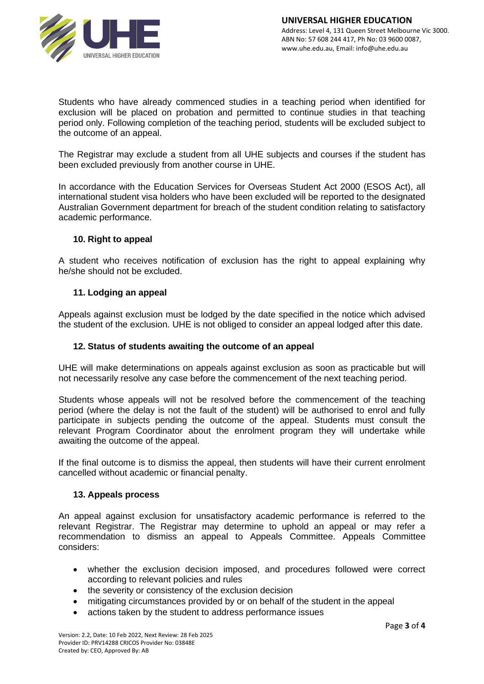

Students who have already commenced studies in a teaching period when identified for exclusion will be placed on probation and permitted to continue studies in that teaching period only. Following completion of the teaching period, students will be excluded subject to the outcome of an appeal.

The Registrar may exclude a student from all UHE subjects and courses if the student has been excluded previously from another course in UHE.

In accordance with the Education Services for Overseas Student Act 2000 (ESOS Act), all international student visa holders who have been excluded will be reported to the designated Australian Government department for breach of the student condition relating to satisfactory academic performance.

## **10. Right to appeal**

A student who receives notification of exclusion has the right to appeal explaining why he/she should not be excluded.

#### **11. Lodging an appeal**

Appeals against exclusion must be lodged by the date specified in the notice which advised the student of the exclusion. UHE is not obliged to consider an appeal lodged after this date.

#### **12. Status of students awaiting the outcome of an appeal**

UHE will make determinations on appeals against exclusion as soon as practicable but will not necessarily resolve any case before the commencement of the next teaching period.

Students whose appeals will not be resolved before the commencement of the teaching period (where the delay is not the fault of the student) will be authorised to enrol and fully participate in subjects pending the outcome of the appeal. Students must consult the relevant Program Coordinator about the enrolment program they will undertake while awaiting the outcome of the appeal.

If the final outcome is to dismiss the appeal, then students will have their current enrolment cancelled without academic or financial penalty.

#### **13. Appeals process**

An appeal against exclusion for unsatisfactory academic performance is referred to the relevant Registrar. The Registrar may determine to uphold an appeal or may refer a recommendation to dismiss an appeal to Appeals Committee. Appeals Committee considers:

- whether the exclusion decision imposed, and procedures followed were correct according to relevant policies and rules
- the severity or consistency of the exclusion decision
- mitigating circumstances provided by or on behalf of the student in the appeal
- actions taken by the student to address performance issues